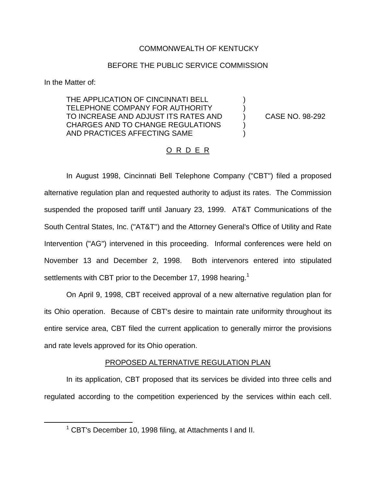# COMMONWEALTH OF KENTUCKY

# BEFORE THE PUBLIC SERVICE COMMISSION

In the Matter of:

THE APPLICATION OF CINCINNATI BELL TELEPHONE COMPANY FOR AUTHORITY TO INCREASE AND ADJUST ITS RATES AND (CASE NO. 98-292) CHARGES AND TO CHANGE REGULATIONS ) AND PRACTICES AFFECTING SAME )

# O R D E R

In August 1998, Cincinnati Bell Telephone Company ("CBT") filed a proposed alternative regulation plan and requested authority to adjust its rates. The Commission suspended the proposed tariff until January 23, 1999. AT&T Communications of the South Central States, Inc. ("AT&T") and the Attorney General's Office of Utility and Rate Intervention ("AG") intervened in this proceeding. Informal conferences were held on November 13 and December 2, 1998. Both intervenors entered into stipulated settlements with CBT prior to the December 17, 1998 hearing.<sup>1</sup>

On April 9, 1998, CBT received approval of a new alternative regulation plan for its Ohio operation. Because of CBT's desire to maintain rate uniformity throughout its entire service area, CBT filed the current application to generally mirror the provisions and rate levels approved for its Ohio operation.

## PROPOSED ALTERNATIVE REGULATION PLAN

In its application, CBT proposed that its services be divided into three cells and regulated according to the competition experienced by the services within each cell.

 $1$  CBT's December 10, 1998 filing, at Attachments I and II.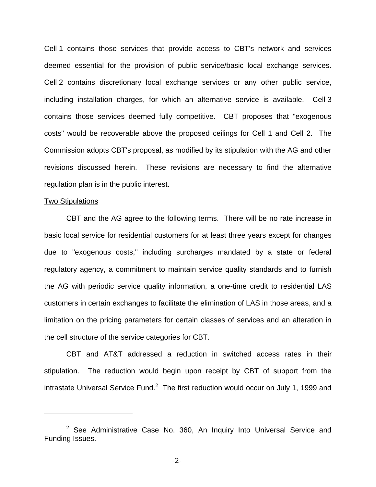Cell 1 contains those services that provide access to CBT's network and services deemed essential for the provision of public service/basic local exchange services. Cell 2 contains discretionary local exchange services or any other public service, including installation charges, for which an alternative service is available. Cell 3 contains those services deemed fully competitive. CBT proposes that "exogenous costs" would be recoverable above the proposed ceilings for Cell 1 and Cell 2. The Commission adopts CBT's proposal, as modified by its stipulation with the AG and other revisions discussed herein. These revisions are necessary to find the alternative regulation plan is in the public interest.

#### Two Stipulations

CBT and the AG agree to the following terms. There will be no rate increase in basic local service for residential customers for at least three years except for changes due to "exogenous costs," including surcharges mandated by a state or federal regulatory agency, a commitment to maintain service quality standards and to furnish the AG with periodic service quality information, a one-time credit to residential LAS customers in certain exchanges to facilitate the elimination of LAS in those areas, and a limitation on the pricing parameters for certain classes of services and an alteration in the cell structure of the service categories for CBT.

CBT and AT&T addressed a reduction in switched access rates in their stipulation. The reduction would begin upon receipt by CBT of support from the intrastate Universal Service Fund. $^2$  The first reduction would occur on July 1, 1999 and

 $2$  See Administrative Case No. 360, An Inquiry Into Universal Service and Funding Issues.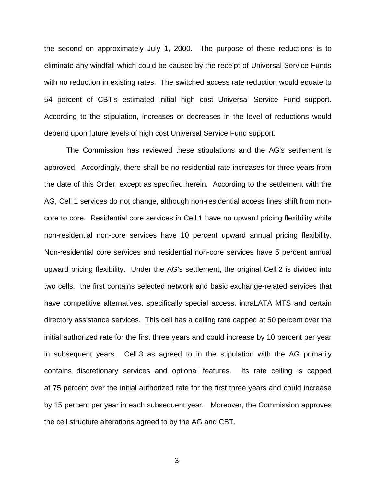the second on approximately July 1, 2000. The purpose of these reductions is to eliminate any windfall which could be caused by the receipt of Universal Service Funds with no reduction in existing rates. The switched access rate reduction would equate to 54 percent of CBT's estimated initial high cost Universal Service Fund support. According to the stipulation, increases or decreases in the level of reductions would depend upon future levels of high cost Universal Service Fund support.

The Commission has reviewed these stipulations and the AG's settlement is approved. Accordingly, there shall be no residential rate increases for three years from the date of this Order, except as specified herein. According to the settlement with the AG, Cell 1 services do not change, although non-residential access lines shift from noncore to core. Residential core services in Cell 1 have no upward pricing flexibility while non-residential non-core services have 10 percent upward annual pricing flexibility. Non-residential core services and residential non-core services have 5 percent annual upward pricing flexibility. Under the AG's settlement, the original Cell 2 is divided into two cells: the first contains selected network and basic exchange-related services that have competitive alternatives, specifically special access, intraLATA MTS and certain directory assistance services. This cell has a ceiling rate capped at 50 percent over the initial authorized rate for the first three years and could increase by 10 percent per year in subsequent years. Cell 3 as agreed to in the stipulation with the AG primarily contains discretionary services and optional features. Its rate ceiling is capped at 75 percent over the initial authorized rate for the first three years and could increase by 15 percent per year in each subsequent year. Moreover, the Commission approves the cell structure alterations agreed to by the AG and CBT.

-3-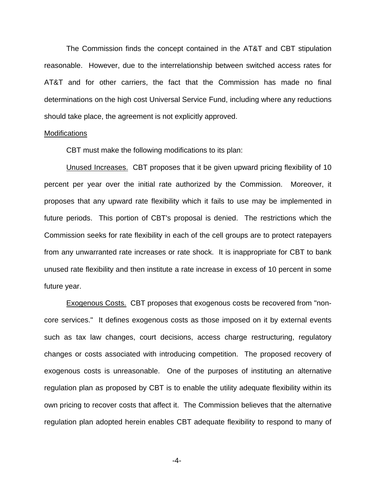The Commission finds the concept contained in the AT&T and CBT stipulation reasonable. However, due to the interrelationship between switched access rates for AT&T and for other carriers, the fact that the Commission has made no final determinations on the high cost Universal Service Fund, including where any reductions should take place, the agreement is not explicitly approved.

#### **Modifications**

CBT must make the following modifications to its plan:

Unused Increases. CBT proposes that it be given upward pricing flexibility of 10 percent per year over the initial rate authorized by the Commission. Moreover, it proposes that any upward rate flexibility which it fails to use may be implemented in future periods. This portion of CBT's proposal is denied. The restrictions which the Commission seeks for rate flexibility in each of the cell groups are to protect ratepayers from any unwarranted rate increases or rate shock. It is inappropriate for CBT to bank unused rate flexibility and then institute a rate increase in excess of 10 percent in some future year.

Exogenous Costs. CBT proposes that exogenous costs be recovered from "noncore services." It defines exogenous costs as those imposed on it by external events such as tax law changes, court decisions, access charge restructuring, regulatory changes or costs associated with introducing competition. The proposed recovery of exogenous costs is unreasonable. One of the purposes of instituting an alternative regulation plan as proposed by CBT is to enable the utility adequate flexibility within its own pricing to recover costs that affect it. The Commission believes that the alternative regulation plan adopted herein enables CBT adequate flexibility to respond to many of

-4-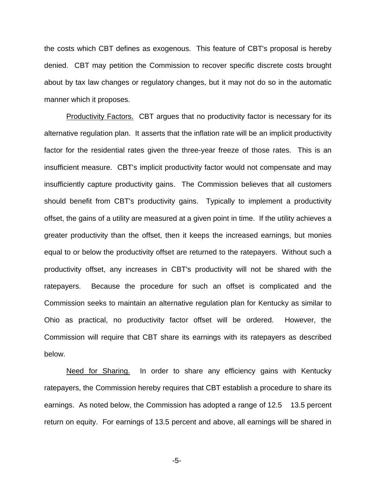the costs which CBT defines as exogenous. This feature of CBT's proposal is hereby denied. CBT may petition the Commission to recover specific discrete costs brought about by tax law changes or regulatory changes, but it may not do so in the automatic manner which it proposes.

Productivity Factors. CBT argues that no productivity factor is necessary for its alternative regulation plan. It asserts that the inflation rate will be an implicit productivity factor for the residential rates given the three-year freeze of those rates. This is an insufficient measure. CBT's implicit productivity factor would not compensate and may insufficiently capture productivity gains. The Commission believes that all customers should benefit from CBT's productivity gains. Typically to implement a productivity offset, the gains of a utility are measured at a given point in time. If the utility achieves a greater productivity than the offset, then it keeps the increased earnings, but monies equal to or below the productivity offset are returned to the ratepayers. Without such a productivity offset, any increases in CBT's productivity will not be shared with the ratepayers. Because the procedure for such an offset is complicated and the Commission seeks to maintain an alternative regulation plan for Kentucky as similar to Ohio as practical, no productivity factor offset will be ordered. However, the Commission will require that CBT share its earnings with its ratepayers as described below.

Need for Sharing. In order to share any efficiency gains with Kentucky ratepayers, the Commission hereby requires that CBT establish a procedure to share its earnings. As noted below, the Commission has adopted a range of 12.5 13.5 percent return on equity. For earnings of 13.5 percent and above, all earnings will be shared in

-5-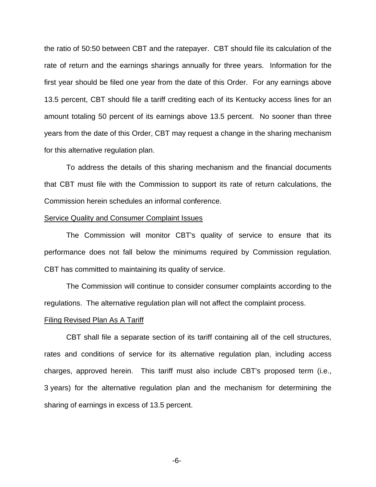the ratio of 50:50 between CBT and the ratepayer. CBT should file its calculation of the rate of return and the earnings sharings annually for three years. Information for the first year should be filed one year from the date of this Order. For any earnings above 13.5 percent, CBT should file a tariff crediting each of its Kentucky access lines for an amount totaling 50 percent of its earnings above 13.5 percent. No sooner than three years from the date of this Order, CBT may request a change in the sharing mechanism for this alternative regulation plan.

To address the details of this sharing mechanism and the financial documents that CBT must file with the Commission to support its rate of return calculations, the Commission herein schedules an informal conference.

### Service Quality and Consumer Complaint Issues

The Commission will monitor CBT's quality of service to ensure that its performance does not fall below the minimums required by Commission regulation. CBT has committed to maintaining its quality of service.

The Commission will continue to consider consumer complaints according to the regulations. The alternative regulation plan will not affect the complaint process.

#### Filing Revised Plan As A Tariff

CBT shall file a separate section of its tariff containing all of the cell structures, rates and conditions of service for its alternative regulation plan, including access charges, approved herein. This tariff must also include CBT's proposed term (i.e., 3 years) for the alternative regulation plan and the mechanism for determining the sharing of earnings in excess of 13.5 percent.

-6-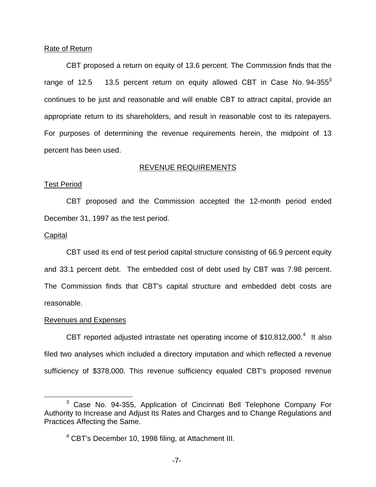### Rate of Return

CBT proposed a return on equity of 13.6 percent. The Commission finds that the range of 12.5  $-$  13.5 percent return on equity allowed CBT in Case No. 94-355 $^3$ continues to be just and reasonable and will enable CBT to attract capital, provide an appropriate return to its shareholders, and result in reasonable cost to its ratepayers. For purposes of determining the revenue requirements herein, the midpoint of 13 percent has been used.

## REVENUE REQUIREMENTS

### Test Period

CBT proposed and the Commission accepted the 12-month period ended December 31, 1997 as the test period.

## **Capital**

CBT used its end of test period capital structure consisting of 66.9 percent equity and 33.1 percent debt. The embedded cost of debt used by CBT was 7.98 percent. The Commission finds that CBT's capital structure and embedded debt costs are reasonable.

### Revenues and Expenses

CBT reported adjusted intrastate net operating income of  $$10,812,000.<sup>4</sup>$  It also filed two analyses which included a directory imputation and which reflected a revenue sufficiency of \$378,000. This revenue sufficiency equaled CBT's proposed revenue

<sup>3</sup> Case No. 94-355, Application of Cincinnati Bell Telephone Company For Authority to Increase and Adjust Its Rates and Charges and to Change Regulations and Practices Affecting the Same.

<sup>&</sup>lt;sup>4</sup> CBT's December 10, 1998 filing, at Attachment III.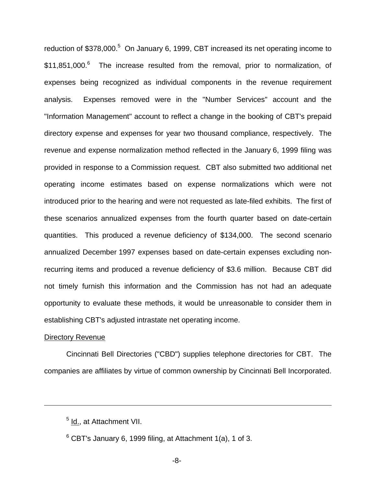reduction of  $$378,000<sup>5</sup>$  On January 6, 1999, CBT increased its net operating income to \$11,851,000.<sup>6</sup> The increase resulted from the removal, prior to normalization, of expenses being recognized as individual components in the revenue requirement analysis. Expenses removed were in the "Number Services" account and the "Information Management" account to reflect a change in the booking of CBT's prepaid directory expense and expenses for year two thousand compliance, respectively. The revenue and expense normalization method reflected in the January 6, 1999 filing was provided in response to a Commission request. CBT also submitted two additional net operating income estimates based on expense normalizations which were not introduced prior to the hearing and were not requested as late-filed exhibits. The first of these scenarios annualized expenses from the fourth quarter based on date-certain quantities. This produced a revenue deficiency of \$134,000. The second scenario annualized December 1997 expenses based on date-certain expenses excluding nonrecurring items and produced a revenue deficiency of \$3.6 million. Because CBT did not timely furnish this information and the Commission has not had an adequate opportunity to evaluate these methods, it would be unreasonable to consider them in establishing CBT's adjusted intrastate net operating income.

### Directory Revenue

Cincinnati Bell Directories ("CBD") supplies telephone directories for CBT. The companies are affiliates by virtue of common ownership by Cincinnati Bell Incorporated.

<sup>5</sup> Id., at Attachment VII.

 $6$  CBT's January 6, 1999 filing, at Attachment 1(a), 1 of 3.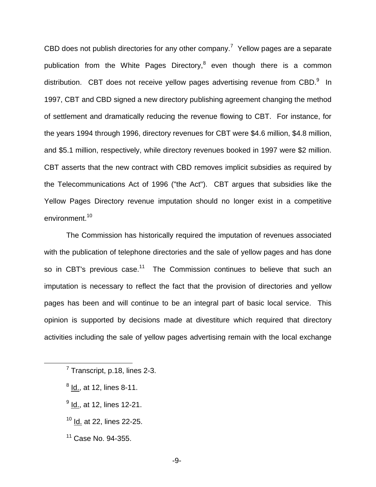CBD does not publish directories for any other company.<sup>7</sup> Yellow pages are a separate publication from the White Pages Directory,<sup>8</sup> even though there is a common distribution. CBT does not receive yellow pages advertising revenue from CBD.<sup>9</sup> In 1997, CBT and CBD signed a new directory publishing agreement changing the method of settlement and dramatically reducing the revenue flowing to CBT. For instance, for the years 1994 through 1996, directory revenues for CBT were \$4.6 million, \$4.8 million, and \$5.1 million, respectively, while directory revenues booked in 1997 were \$2 million. CBT asserts that the new contract with CBD removes implicit subsidies as required by the Telecommunications Act of 1996 ("the Act"). CBT argues that subsidies like the Yellow Pages Directory revenue imputation should no longer exist in a competitive environment.<sup>10</sup>

The Commission has historically required the imputation of revenues associated with the publication of telephone directories and the sale of yellow pages and has done so in CBT's previous case.<sup>11</sup> The Commission continues to believe that such an imputation is necessary to reflect the fact that the provision of directories and yellow pages has been and will continue to be an integral part of basic local service. This opinion is supported by decisions made at divestiture which required that directory activities including the sale of yellow pages advertising remain with the local exchange

- $8$  Id., at 12, lines 8-11.
- $<sup>9</sup>$  Id., at 12, lines 12-21.</sup>
- <sup>10</sup> Id. at 22, lines 22-25.
- $11$  Case No. 94-355.

 $<sup>7</sup>$  Transcript, p.18, lines 2-3.</sup>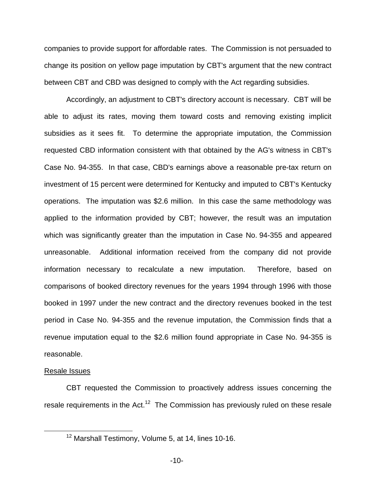companies to provide support for affordable rates. The Commission is not persuaded to change its position on yellow page imputation by CBT's argument that the new contract between CBT and CBD was designed to comply with the Act regarding subsidies.

Accordingly, an adjustment to CBT's directory account is necessary. CBT will be able to adjust its rates, moving them toward costs and removing existing implicit subsidies as it sees fit. To determine the appropriate imputation, the Commission requested CBD information consistent with that obtained by the AG's witness in CBT's Case No. 94-355. In that case, CBD's earnings above a reasonable pre-tax return on investment of 15 percent were determined for Kentucky and imputed to CBT's Kentucky operations. The imputation was \$2.6 million. In this case the same methodology was applied to the information provided by CBT; however, the result was an imputation which was significantly greater than the imputation in Case No. 94-355 and appeared unreasonable. Additional information received from the company did not provide information necessary to recalculate a new imputation. Therefore, based on comparisons of booked directory revenues for the years 1994 through 1996 with those booked in 1997 under the new contract and the directory revenues booked in the test period in Case No. 94-355 and the revenue imputation, the Commission finds that a revenue imputation equal to the \$2.6 million found appropriate in Case No. 94-355 is reasonable.

## Resale Issues

CBT requested the Commission to proactively address issues concerning the resale requirements in the Act.<sup>12</sup> The Commission has previously ruled on these resale

<sup>12</sup> Marshall Testimony, Volume 5, at 14, lines 10-16.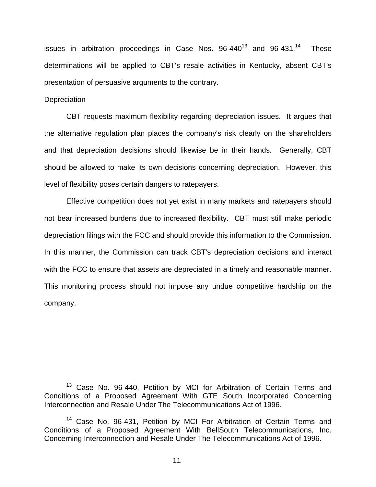issues in arbitration proceedings in Case Nos.  $96-440^{13}$  and  $96-431^{14}$  These determinations will be applied to CBT's resale activities in Kentucky, absent CBT's presentation of persuasive arguments to the contrary.

## **Depreciation**

CBT requests maximum flexibility regarding depreciation issues. It argues that the alternative regulation plan places the company's risk clearly on the shareholders and that depreciation decisions should likewise be in their hands. Generally, CBT should be allowed to make its own decisions concerning depreciation. However, this level of flexibility poses certain dangers to ratepayers.

Effective competition does not yet exist in many markets and ratepayers should not bear increased burdens due to increased flexibility. CBT must still make periodic depreciation filings with the FCC and should provide this information to the Commission. In this manner, the Commission can track CBT's depreciation decisions and interact with the FCC to ensure that assets are depreciated in a timely and reasonable manner. This monitoring process should not impose any undue competitive hardship on the company.

<sup>&</sup>lt;sup>13</sup> Case No. 96-440, Petition by MCI for Arbitration of Certain Terms and Conditions of a Proposed Agreement With GTE South Incorporated Concerning Interconnection and Resale Under The Telecommunications Act of 1996.

<sup>&</sup>lt;sup>14</sup> Case No. 96-431, Petition by MCI For Arbitration of Certain Terms and Conditions of a Proposed Agreement With BellSouth Telecommunications, Inc. Concerning Interconnection and Resale Under The Telecommunications Act of 1996.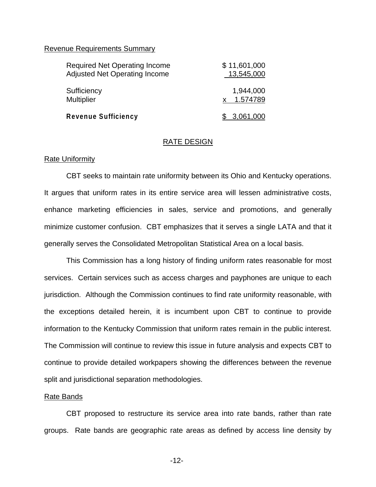## Revenue Requirements Summary

| <b>Required Net Operating Income</b> | \$11,601,000 |
|--------------------------------------|--------------|
| <b>Adjusted Net Operating Income</b> | 13,545,000   |
| Sufficiency                          | 1,944,000    |
| <b>Multiplier</b>                    | 1.574789     |
| <b>Revenue Sufficiency</b>           | \$ 3,061,000 |

## RATE DESIGN

### Rate Uniformity

CBT seeks to maintain rate uniformity between its Ohio and Kentucky operations. It argues that uniform rates in its entire service area will lessen administrative costs, enhance marketing efficiencies in sales, service and promotions, and generally minimize customer confusion. CBT emphasizes that it serves a single LATA and that it generally serves the Consolidated Metropolitan Statistical Area on a local basis.

This Commission has a long history of finding uniform rates reasonable for most services. Certain services such as access charges and payphones are unique to each jurisdiction. Although the Commission continues to find rate uniformity reasonable, with the exceptions detailed herein, it is incumbent upon CBT to continue to provide information to the Kentucky Commission that uniform rates remain in the public interest. The Commission will continue to review this issue in future analysis and expects CBT to continue to provide detailed workpapers showing the differences between the revenue split and jurisdictional separation methodologies.

### Rate Bands

CBT proposed to restructure its service area into rate bands, rather than rate groups. Rate bands are geographic rate areas as defined by access line density by

-12-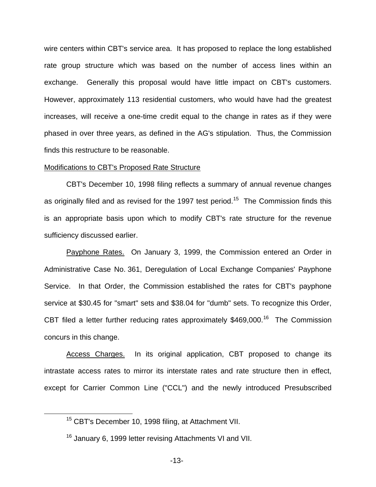wire centers within CBT's service area. It has proposed to replace the long established rate group structure which was based on the number of access lines within an exchange. Generally this proposal would have little impact on CBT's customers. However, approximately 113 residential customers, who would have had the greatest increases, will receive a one-time credit equal to the change in rates as if they were phased in over three years, as defined in the AG's stipulation. Thus, the Commission finds this restructure to be reasonable.

### Modifications to CBT's Proposed Rate Structure

CBT's December 10, 1998 filing reflects a summary of annual revenue changes as originally filed and as revised for the 1997 test period.<sup>15</sup> The Commission finds this is an appropriate basis upon which to modify CBT's rate structure for the revenue sufficiency discussed earlier.

Payphone Rates. On January 3, 1999, the Commission entered an Order in Administrative Case No. 361, Deregulation of Local Exchange Companies' Payphone Service. In that Order, the Commission established the rates for CBT's payphone service at \$30.45 for "smart" sets and \$38.04 for "dumb" sets. To recognize this Order, CBT filed a letter further reducing rates approximately \$469,000.<sup>16</sup> The Commission concurs in this change.

Access Charges. In its original application, CBT proposed to change its intrastate access rates to mirror its interstate rates and rate structure then in effect, except for Carrier Common Line ("CCL") and the newly introduced Presubscribed

<sup>&</sup>lt;sup>15</sup> CBT's December 10, 1998 filing, at Attachment VII.

<sup>&</sup>lt;sup>16</sup> January 6, 1999 letter revising Attachments VI and VII.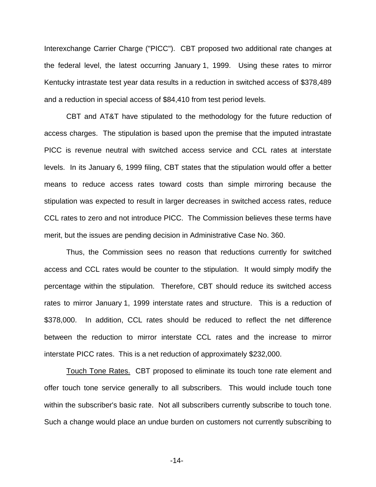Interexchange Carrier Charge ("PICC"). CBT proposed two additional rate changes at the federal level, the latest occurring January 1, 1999. Using these rates to mirror Kentucky intrastate test year data results in a reduction in switched access of \$378,489 and a reduction in special access of \$84,410 from test period levels.

CBT and AT&T have stipulated to the methodology for the future reduction of access charges. The stipulation is based upon the premise that the imputed intrastate PICC is revenue neutral with switched access service and CCL rates at interstate levels. In its January 6, 1999 filing, CBT states that the stipulation would offer a better means to reduce access rates toward costs than simple mirroring because the stipulation was expected to result in larger decreases in switched access rates, reduce CCL rates to zero and not introduce PICC. The Commission believes these terms have merit, but the issues are pending decision in Administrative Case No. 360.

Thus, the Commission sees no reason that reductions currently for switched access and CCL rates would be counter to the stipulation. It would simply modify the percentage within the stipulation. Therefore, CBT should reduce its switched access rates to mirror January 1, 1999 interstate rates and structure. This is a reduction of \$378,000. In addition, CCL rates should be reduced to reflect the net difference between the reduction to mirror interstate CCL rates and the increase to mirror interstate PICC rates. This is a net reduction of approximately \$232,000.

Touch Tone Rates. CBT proposed to eliminate its touch tone rate element and offer touch tone service generally to all subscribers. This would include touch tone within the subscriber's basic rate. Not all subscribers currently subscribe to touch tone. Such a change would place an undue burden on customers not currently subscribing to

-14-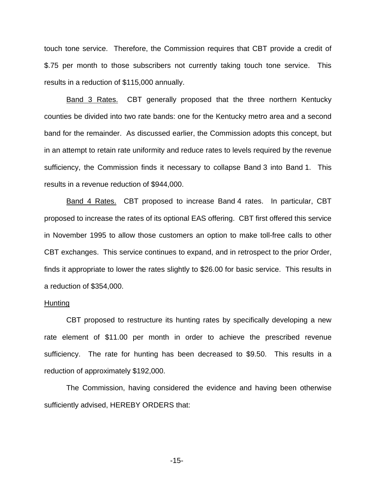touch tone service. Therefore, the Commission requires that CBT provide a credit of \$.75 per month to those subscribers not currently taking touch tone service. This results in a reduction of \$115,000 annually.

Band 3 Rates. CBT generally proposed that the three northern Kentucky counties be divided into two rate bands: one for the Kentucky metro area and a second band for the remainder. As discussed earlier, the Commission adopts this concept, but in an attempt to retain rate uniformity and reduce rates to levels required by the revenue sufficiency, the Commission finds it necessary to collapse Band 3 into Band 1. This results in a revenue reduction of \$944,000.

Band 4 Rates. CBT proposed to increase Band 4 rates. In particular, CBT proposed to increase the rates of its optional EAS offering. CBT first offered this service in November 1995 to allow those customers an option to make toll-free calls to other CBT exchanges. This service continues to expand, and in retrospect to the prior Order, finds it appropriate to lower the rates slightly to \$26.00 for basic service. This results in a reduction of \$354,000.

### Hunting

CBT proposed to restructure its hunting rates by specifically developing a new rate element of \$11.00 per month in order to achieve the prescribed revenue sufficiency. The rate for hunting has been decreased to \$9.50. This results in a reduction of approximately \$192,000.

The Commission, having considered the evidence and having been otherwise sufficiently advised, HEREBY ORDERS that:

-15-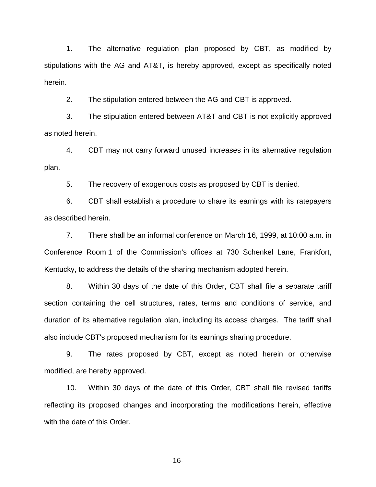1. The alternative regulation plan proposed by CBT, as modified by stipulations with the AG and AT&T, is hereby approved, except as specifically noted herein.

2. The stipulation entered between the AG and CBT is approved.

3. The stipulation entered between AT&T and CBT is not explicitly approved as noted herein.

4. CBT may not carry forward unused increases in its alternative regulation plan.

5. The recovery of exogenous costs as proposed by CBT is denied.

6. CBT shall establish a procedure to share its earnings with its ratepayers as described herein.

7. There shall be an informal conference on March 16, 1999, at 10:00 a.m. in Conference Room 1 of the Commission's offices at 730 Schenkel Lane, Frankfort, Kentucky, to address the details of the sharing mechanism adopted herein.

8. Within 30 days of the date of this Order, CBT shall file a separate tariff section containing the cell structures, rates, terms and conditions of service, and duration of its alternative regulation plan, including its access charges. The tariff shall also include CBT's proposed mechanism for its earnings sharing procedure.

9. The rates proposed by CBT, except as noted herein or otherwise modified, are hereby approved.

10. Within 30 days of the date of this Order, CBT shall file revised tariffs reflecting its proposed changes and incorporating the modifications herein, effective with the date of this Order.

-16-